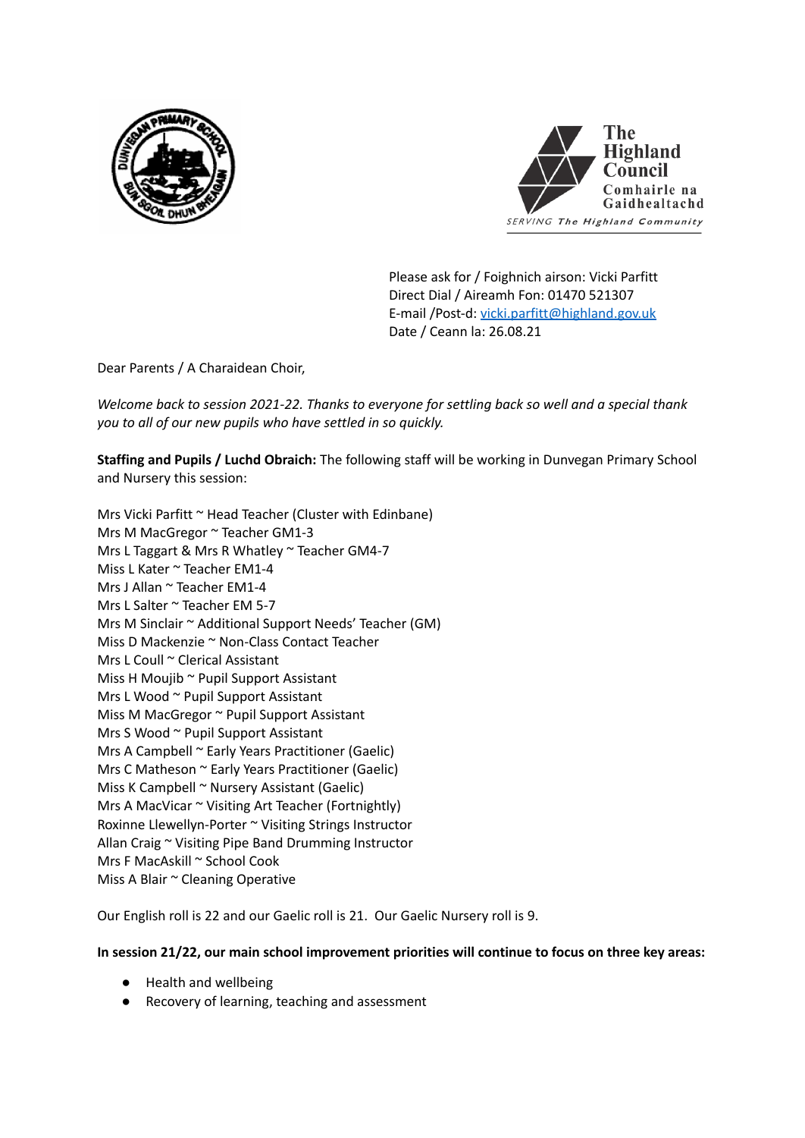



Please ask for / Foighnich airson: Vicki Parfitt Direct Dial / Aireamh Fon: 01470 521307 E-mail /Post-d: [vicki.parfitt@highland.gov.uk](mailto:vicki.parfitt@highland.gov.uk) Date / Ceann la: 26.08.21

Dear Parents / A Charaidean Choir,

*Welcome back to session 2021-22. Thanks to everyone for settling back so well and a special thank you to all of our new pupils who have settled in so quickly.*

**Staffing and Pupils / Luchd Obraich:** The following staff will be working in Dunvegan Primary School and Nursery this session:

Mrs Vicki Parfitt ~ Head Teacher (Cluster with Edinbane) Mrs M MacGregor ~ Teacher GM1-3 Mrs L Taggart & Mrs R Whatley ~ Teacher GM4-7 Miss L Kater ~ Teacher EM1-4 Mrs J Allan ~ Teacher FM1-4 Mrs L Salter ~ Teacher EM 5-7 Mrs M Sinclair ~ Additional Support Needs' Teacher (GM) Miss D Mackenzie ~ Non-Class Contact Teacher Mrs L Coull ~ Clerical Assistant Miss H Moujib ~ Pupil Support Assistant Mrs L Wood ~ Pupil Support Assistant Miss M MacGregor ~ Pupil Support Assistant Mrs S Wood ~ Pupil Support Assistant Mrs A Campbell ~ Early Years Practitioner (Gaelic) Mrs C Matheson ~ Early Years Practitioner (Gaelic) Miss K Campbell ~ Nursery Assistant (Gaelic) Mrs A MacVicar ~ Visiting Art Teacher (Fortnightly) Roxinne Llewellyn-Porter ~ Visiting Strings Instructor Allan Craig ~ Visiting Pipe Band Drumming Instructor Mrs F MacAskill ~ School Cook Miss A Blair ~ Cleaning Operative

Our English roll is 22 and our Gaelic roll is 21. Our Gaelic Nursery roll is 9.

### **In session 21/22, our main school improvement priorities will continue to focus on three key areas:**

- Health and wellbeing
- Recovery of learning, teaching and assessment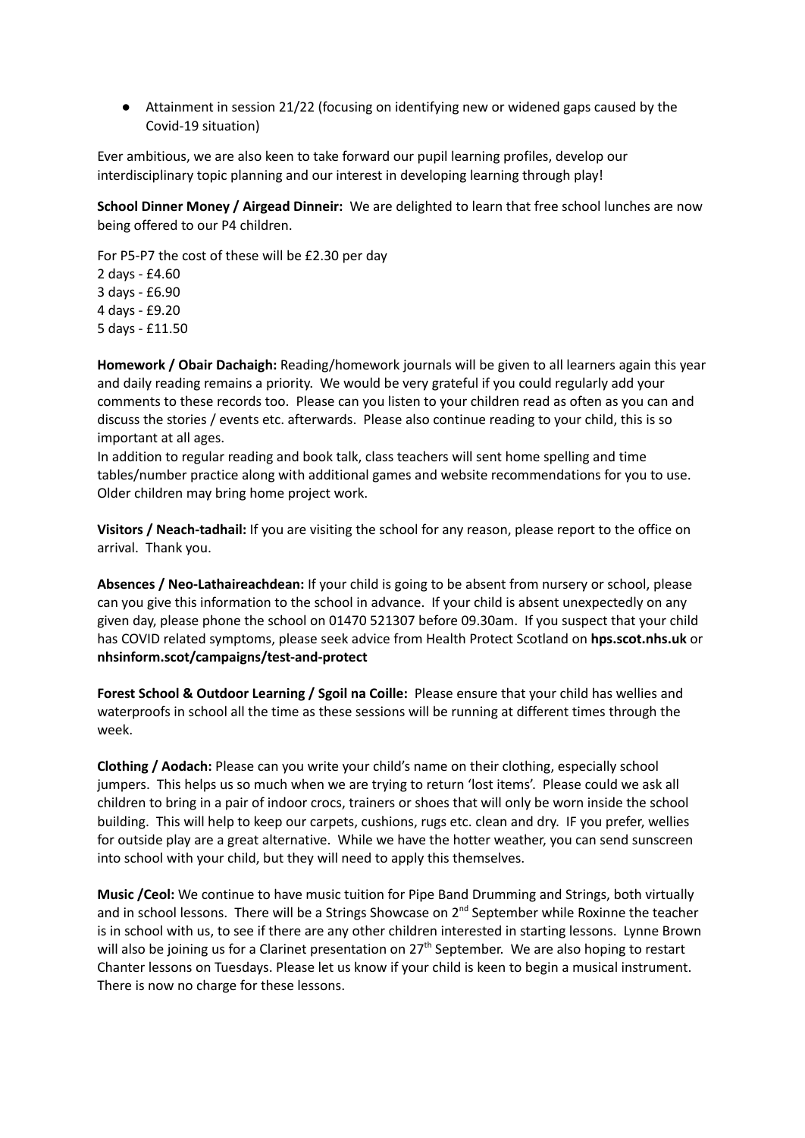● Attainment in session 21/22 (focusing on identifying new or widened gaps caused by the Covid-19 situation)

Ever ambitious, we are also keen to take forward our pupil learning profiles, develop our interdisciplinary topic planning and our interest in developing learning through play!

**School Dinner Money / Airgead Dinneir:** We are delighted to learn that free school lunches are now being offered to our P4 children.

For P5-P7 the cost of these will be £2.30 per day days - £4.60 days - £6.90 days - £9.20 days - £11.50

**Homework / Obair Dachaigh:** Reading/homework journals will be given to all learners again this year and daily reading remains a priority. We would be very grateful if you could regularly add your comments to these records too. Please can you listen to your children read as often as you can and discuss the stories / events etc. afterwards. Please also continue reading to your child, this is so important at all ages.

In addition to regular reading and book talk, class teachers will sent home spelling and time tables/number practice along with additional games and website recommendations for you to use. Older children may bring home project work.

**Visitors / Neach-tadhail:** If you are visiting the school for any reason, please report to the office on arrival. Thank you.

**Absences / Neo-Lathaireachdean:** If your child is going to be absent from nursery or school, please can you give this information to the school in advance. If your child is absent unexpectedly on any given day, please phone the school on 01470 521307 before 09.30am. If you suspect that your child has COVID related symptoms, please seek advice from Health Protect Scotland on **hps.scot.nhs.uk** or **nhsinform.scot/campaigns/test-and-protect**

**Forest School & Outdoor Learning / Sgoil na Coille:** Please ensure that your child has wellies and waterproofs in school all the time as these sessions will be running at different times through the week.

**Clothing / Aodach:** Please can you write your child's name on their clothing, especially school jumpers. This helps us so much when we are trying to return 'lost items'. Please could we ask all children to bring in a pair of indoor crocs, trainers or shoes that will only be worn inside the school building. This will help to keep our carpets, cushions, rugs etc. clean and dry. IF you prefer, wellies for outside play are a great alternative. While we have the hotter weather, you can send sunscreen into school with your child, but they will need to apply this themselves.

**Music /Ceol:** We continue to have music tuition for Pipe Band Drumming and Strings, both virtually and in school lessons. There will be a Strings Showcase on 2<sup>nd</sup> September while Roxinne the teacher is in school with us, to see if there are any other children interested in starting lessons. Lynne Brown will also be joining us for a Clarinet presentation on 27<sup>th</sup> September. We are also hoping to restart Chanter lessons on Tuesdays. Please let us know if your child is keen to begin a musical instrument. There is now no charge for these lessons.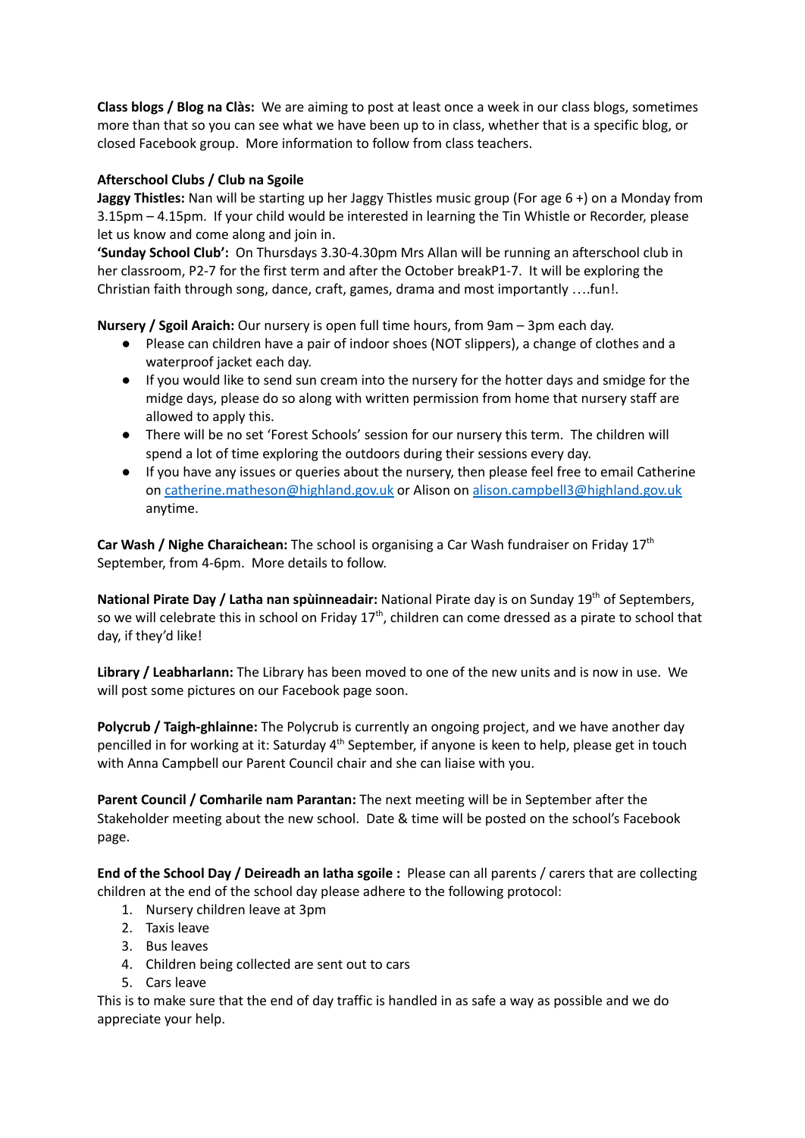**Class blogs / Blog na Clàs:** We are aiming to post at least once a week in our class blogs, sometimes more than that so you can see what we have been up to in class, whether that is a specific blog, or closed Facebook group. More information to follow from class teachers.

# **Afterschool Clubs / Club na Sgoile**

**Jaggy Thistles:** Nan will be starting up her Jaggy Thistles music group (For age 6 +) on a Monday from 3.15pm – 4.15pm. If your child would be interested in learning the Tin Whistle or Recorder, please let us know and come along and join in.

**'Sunday School Club':** On Thursdays 3.30-4.30pm Mrs Allan will be running an afterschool club in her classroom, P2-7 for the first term and after the October breakP1-7. It will be exploring the Christian faith through song, dance, craft, games, drama and most importantly ….fun!.

**Nursery / Sgoil Araich:** Our nursery is open full time hours, from 9am – 3pm each day.

- Please can children have a pair of indoor shoes (NOT slippers), a change of clothes and a waterproof jacket each day.
- If you would like to send sun cream into the nursery for the hotter days and smidge for the midge days, please do so along with written permission from home that nursery staff are allowed to apply this.
- There will be no set 'Forest Schools' session for our nursery this term. The children will spend a lot of time exploring the outdoors during their sessions every day.
- If you have any issues or queries about the nursery, then please feel free to email Catherine on [catherine.matheson@highland.gov.uk](mailto:catherine.matheson@highland.gov.uk) or Alison on [alison.campbell3@highland.gov.uk](mailto:alison.campbell3@highland.gov.uk) anytime.

**Car Wash / Nighe Charaichean:** The school is organising a Car Wash fundraiser on Friday 17 th September, from 4-6pm. More details to follow.

**National Pirate Day / Latha nan spùinneadair:** National Pirate day is on Sunday 19 th of Septembers, so we will celebrate this in school on Friday 17<sup>th</sup>, children can come dressed as a pirate to school that day, if they'd like!

**Library / Leabharlann:** The Library has been moved to one of the new units and is now in use. We will post some pictures on our Facebook page soon.

**Polycrub / Taigh-ghlainne:** The Polycrub is currently an ongoing project, and we have another day pencilled in for working at it: Saturday 4<sup>th</sup> September, if anyone is keen to help, please get in touch with Anna Campbell our Parent Council chair and she can liaise with you.

**Parent Council / Comharile nam Parantan:** The next meeting will be in September after the Stakeholder meeting about the new school. Date & time will be posted on the school's Facebook page.

**End of the School Day / Deireadh an latha sgoile :** Please can all parents / carers that are collecting children at the end of the school day please adhere to the following protocol:

- 1. Nursery children leave at 3pm
- 2. Taxis leave
- 3. Bus leaves
- 4. Children being collected are sent out to cars
- 5. Cars leave

This is to make sure that the end of day traffic is handled in as safe a way as possible and we do appreciate your help.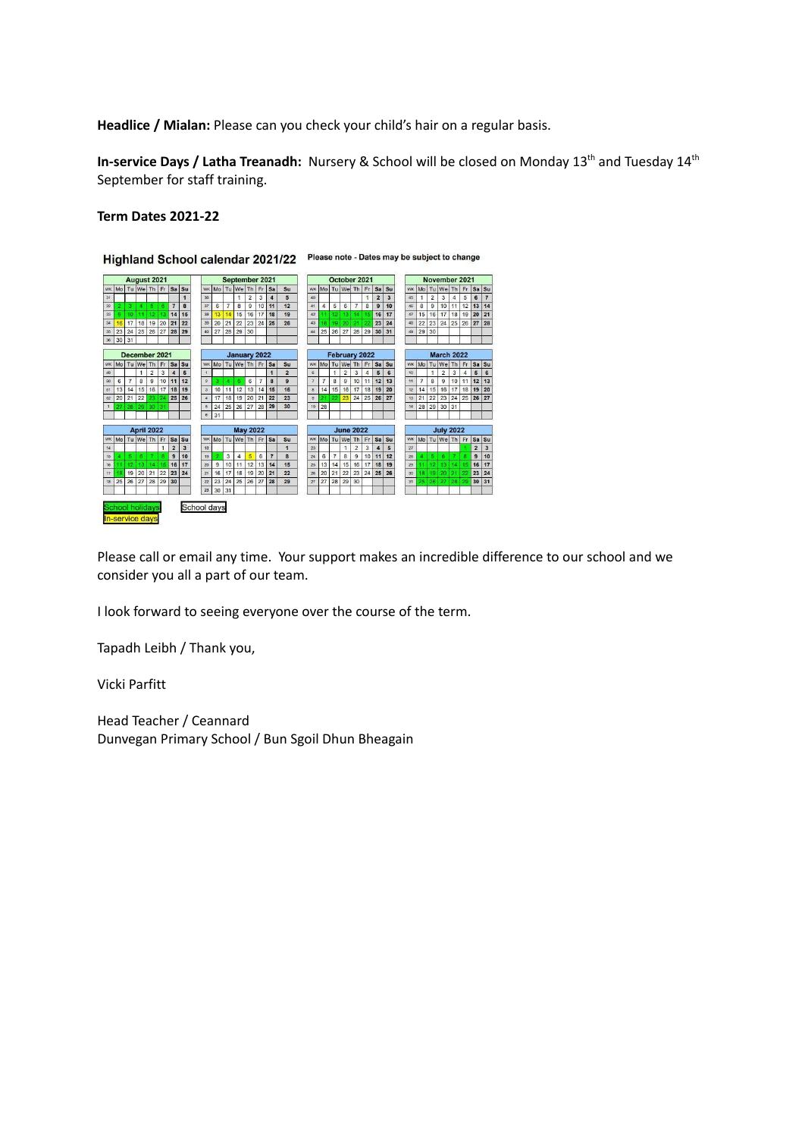**Headlice / Mialan:** Please can you check your child's hair on a regular basis.

**In-service Days / Latha Treanadh:** Nursery & School will be closed on Monday 13<sup>th</sup> and Tuesday 14<sup>th</sup> September for staff training.

# **Term Dates 2021-22**



Please call or email any time. Your support makes an incredible difference to our school and we consider you all a part of our team.

I look forward to seeing everyone over the course of the term.

Tapadh Leibh / Thank you,

Vicki Parfitt

Head Teacher / Ceannard Dunvegan Primary School / Bun Sgoil Dhun Bheagain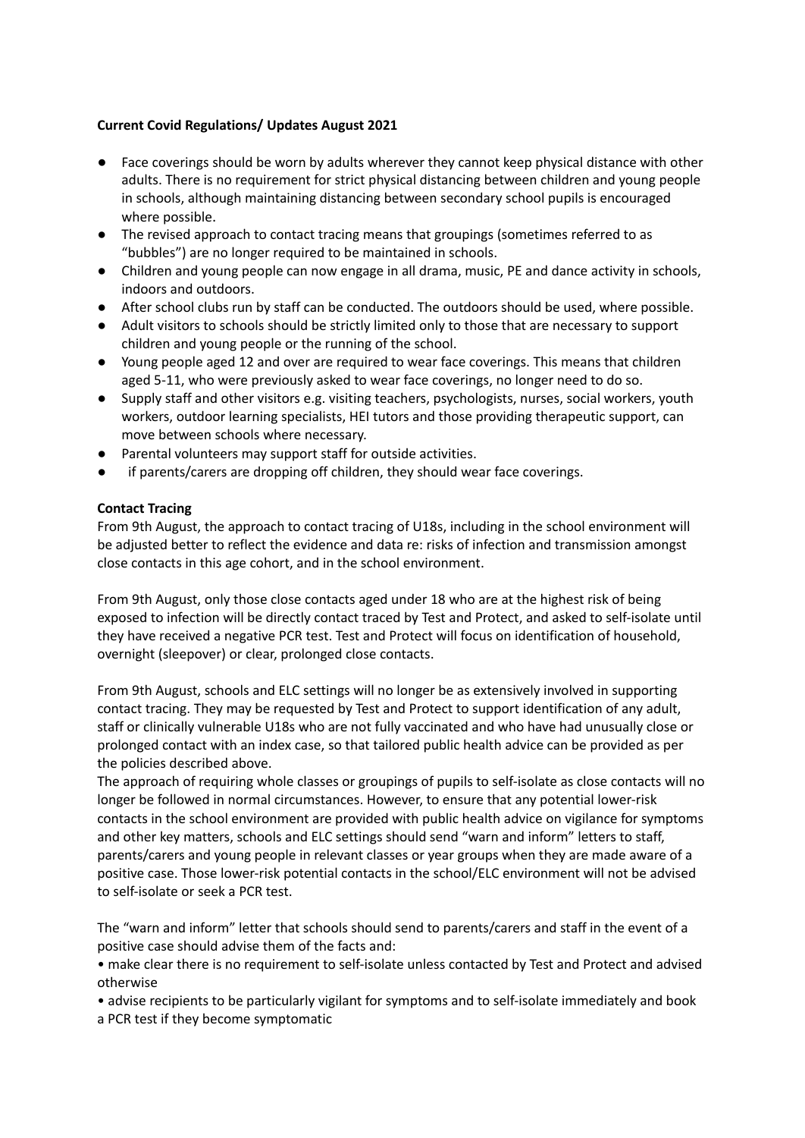## **Current Covid Regulations/ Updates August 2021**

- Face coverings should be worn by adults wherever they cannot keep physical distance with other adults. There is no requirement for strict physical distancing between children and young people in schools, although maintaining distancing between secondary school pupils is encouraged where possible.
- **●** The revised approach to contact tracing means that groupings (sometimes referred to as "bubbles") are no longer required to be maintained in schools.
- Children and young people can now engage in all drama, music, PE and dance activity in schools, indoors and outdoors.
- After school clubs run by staff can be conducted. The outdoors should be used, where possible.
- Adult visitors to schools should be strictly limited only to those that are necessary to support children and young people or the running of the school.
- Young people aged 12 and over are required to wear face coverings. This means that children aged 5-11, who were previously asked to wear face coverings, no longer need to do so.
- Supply staff and other visitors e.g. visiting teachers, psychologists, nurses, social workers, youth workers, outdoor learning specialists, HEI tutors and those providing therapeutic support, can move between schools where necessary.
- Parental volunteers may support staff for outside activities.
- if parents/carers are dropping off children, they should wear face coverings.

# **Contact Tracing**

From 9th August, the approach to contact tracing of U18s, including in the school environment will be adjusted better to reflect the evidence and data re: risks of infection and transmission amongst close contacts in this age cohort, and in the school environment.

From 9th August, only those close contacts aged under 18 who are at the highest risk of being exposed to infection will be directly contact traced by Test and Protect, and asked to self-isolate until they have received a negative PCR test. Test and Protect will focus on identification of household, overnight (sleepover) or clear, prolonged close contacts.

From 9th August, schools and ELC settings will no longer be as extensively involved in supporting contact tracing. They may be requested by Test and Protect to support identification of any adult, staff or clinically vulnerable U18s who are not fully vaccinated and who have had unusually close or prolonged contact with an index case, so that tailored public health advice can be provided as per the policies described above.

The approach of requiring whole classes or groupings of pupils to self-isolate as close contacts will no longer be followed in normal circumstances. However, to ensure that any potential lower-risk contacts in the school environment are provided with public health advice on vigilance for symptoms and other key matters, schools and ELC settings should send "warn and inform" letters to staff, parents/carers and young people in relevant classes or year groups when they are made aware of a positive case. Those lower-risk potential contacts in the school/ELC environment will not be advised to self-isolate or seek a PCR test.

The "warn and inform" letter that schools should send to parents/carers and staff in the event of a positive case should advise them of the facts and:

• make clear there is no requirement to self-isolate unless contacted by Test and Protect and advised otherwise

- advise recipients to be particularly vigilant for symptoms and to self-isolate immediately and book
- a PCR test if they become symptomatic